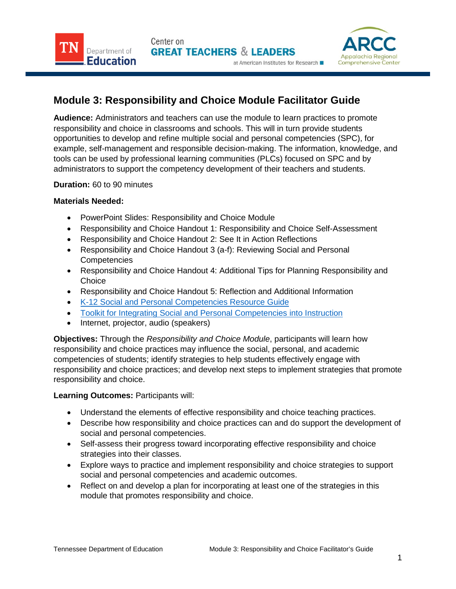Center on **GREAT TEACHERS & LEADERS** 



# **Module 3: Responsibility and Choice Module Facilitator Guide**

**Audience:** Administrators and teachers can use the module to learn practices to promote responsibility and choice in classrooms and schools. This will in turn provide students opportunities to develop and refine multiple social and personal competencies (SPC), for example, self-management and responsible decision-making. The information, knowledge, and tools can be used by professional learning communities (PLCs) focused on SPC and by administrators to support the competency development of their teachers and students.

at American Institutes for Research

# **Duration:** 60 to 90 minutes

Department of

Education

# **Materials Needed:**

- PowerPoint Slides: Responsibility and Choice Module
- Responsibility and Choice Handout 1: Responsibility and Choice Self-Assessment
- Responsibility and Choice Handout 2: See It in Action Reflections
- Responsibility and Choice Handout 3 (a-f): Reviewing Social and Personal **Competencies**
- Responsibility and Choice Handout 4: Additional Tips for Planning Responsibility and **Choice**
- Responsibility and Choice Handout 5: Reflection and Additional Information
- K-12 Social and [Personal Competencies Resource Guide](https://www.tn.gov/content/dam/tn/education/safety/safe_sch/SPC_Resource_Guide.pdf)
- [Toolkit for Integrating Social and Personal Competencies into Instruction](https://www.tn.gov/content/dam/tn/education/safety/safe_sch/safe_sch_se_toolkit.pdf)
- Internet, projector, audio (speakers)

**Objectives:** Through the *Responsibility and Choice Module*, participants will learn how responsibility and choice practices may influence the social, personal, and academic competencies of students; identify strategies to help students effectively engage with responsibility and choice practices; and develop next steps to implement strategies that promote responsibility and choice.

## **Learning Outcomes:** Participants will:

- Understand the elements of effective responsibility and choice teaching practices.
- Describe how responsibility and choice practices can and do support the development of social and personal competencies.
- Self-assess their progress toward incorporating effective responsibility and choice strategies into their classes.
- Explore ways to practice and implement responsibility and choice strategies to support social and personal competencies and academic outcomes.
- Reflect on and develop a plan for incorporating at least one of the strategies in this module that promotes responsibility and choice.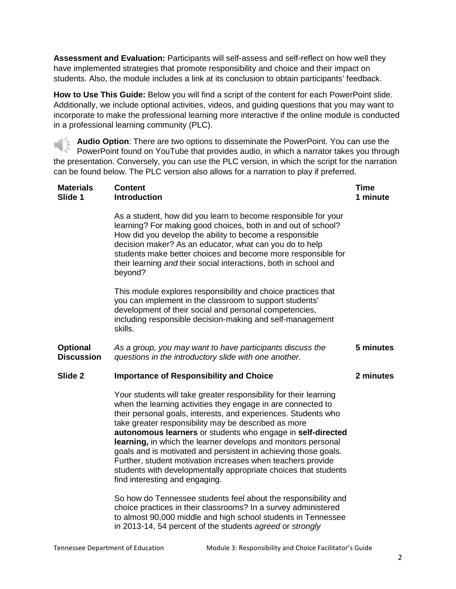**Assessment and Evaluation:** Participants will self-assess and self-reflect on how well they have implemented strategies that promote responsibility and choice and their impact on students. Also, the module includes a link at its conclusion to obtain participants' feedback.

**How to Use This Guide:** Below you will find a script of the content for each PowerPoint slide. Additionally, we include optional activities, videos, and guiding questions that you may want to incorporate to make the professional learning more interactive if the online module is conducted in a professional learning community (PLC).

**Audio Option**: There are two options to disseminate the PowerPoint. You can use the PowerPoint found on YouTube that provides audio, in which a narrator takes you through the presentation. Conversely, you can use the PLC version, in which the script for the narration can be found below. The PLC version also allows for a narration to play if preferred.

| <b>Materials</b><br>Slide 1          | <b>Content</b><br><b>Introduction</b>                                                                                                                                                                                                                                                                                                                                                                                                                                                                                                                                                                                              | <b>Time</b><br>1 minute |
|--------------------------------------|------------------------------------------------------------------------------------------------------------------------------------------------------------------------------------------------------------------------------------------------------------------------------------------------------------------------------------------------------------------------------------------------------------------------------------------------------------------------------------------------------------------------------------------------------------------------------------------------------------------------------------|-------------------------|
|                                      | As a student, how did you learn to become responsible for your<br>learning? For making good choices, both in and out of school?<br>How did you develop the ability to become a responsible<br>decision maker? As an educator, what can you do to help<br>students make better choices and become more responsible for<br>their learning and their social interactions, both in school and<br>beyond?                                                                                                                                                                                                                               |                         |
|                                      | This module explores responsibility and choice practices that<br>you can implement in the classroom to support students'<br>development of their social and personal competencies,<br>including responsible decision-making and self-management<br>skills.                                                                                                                                                                                                                                                                                                                                                                         |                         |
| <b>Optional</b><br><b>Discussion</b> | As a group, you may want to have participants discuss the<br>questions in the introductory slide with one another.                                                                                                                                                                                                                                                                                                                                                                                                                                                                                                                 | 5 minutes               |
| Slide 2                              | <b>Importance of Responsibility and Choice</b>                                                                                                                                                                                                                                                                                                                                                                                                                                                                                                                                                                                     | 2 minutes               |
|                                      | Your students will take greater responsibility for their learning<br>when the learning activities they engage in are connected to<br>their personal goals, interests, and experiences. Students who<br>take greater responsibility may be described as more<br>autonomous learners or students who engage in self-directed<br>learning, in which the learner develops and monitors personal<br>goals and is motivated and persistent in achieving those goals.<br>Further, student motivation increases when teachers provide<br>students with developmentally appropriate choices that students<br>find interesting and engaging. |                         |
|                                      | So how do Tennessee students feel about the responsibility and<br>choice practices in their classrooms? In a survey administered<br>to almost 90,000 middle and high school students in Tennessee<br>in 2013-14, 54 percent of the students agreed or strongly                                                                                                                                                                                                                                                                                                                                                                     |                         |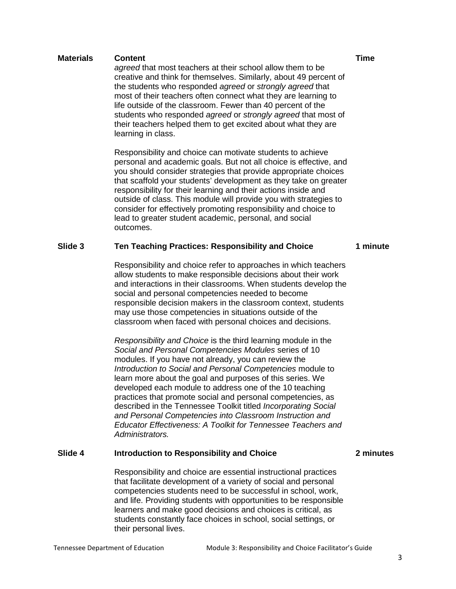*agreed* that most teachers at their school allow them to be creative and think for themselves. Similarly, about 49 percent of the students who responded *agreed* or *strongly agreed* that most of their teachers often connect what they are learning to life outside of the classroom. Fewer than 40 percent of the students who responded *agreed* or *strongly agreed* that most of their teachers helped them to get excited about what they are learning in class.

Responsibility and choice can motivate students to achieve personal and academic goals. But not all choice is effective, and you should consider strategies that provide appropriate choices that scaffold your students' development as they take on greater responsibility for their learning and their actions inside and outside of class. This module will provide you with strategies to consider for effectively promoting responsibility and choice to lead to greater student academic, personal, and social outcomes.

## **Slide 3 Ten Teaching Practices: Responsibility and Choice**

Responsibility and choice refer to approaches in which teachers allow students to make responsible decisions about their work and interactions in their classrooms. When students develop the social and personal competencies needed to become responsible decision makers in the classroom context, students may use those competencies in situations outside of the classroom when faced with personal choices and decisions.

*Responsibility and Choice* is the third learning module in the *Social and Personal Competencies Modules* series of 10 modules. If you have not already, you can review the *Introduction to Social and Personal Competencies* module to learn more about the goal and purposes of this series. We developed each module to address one of the 10 teaching practices that promote social and personal competencies, as described in the Tennessee Toolkit titled *Incorporating Social and Personal Competencies into Classroom Instruction and Educator Effectiveness: A Toolkit for Tennessee Teachers and Administrators.* 

## **Slide 4 Introduction to Responsibility and Choice**

Responsibility and choice are essential instructional practices that facilitate development of a variety of social and personal competencies students need to be successful in school, work, and life. Providing students with opportunities to be responsible learners and make good decisions and choices is critical, as students constantly face choices in school, social settings, or their personal lives.

**2 minutes**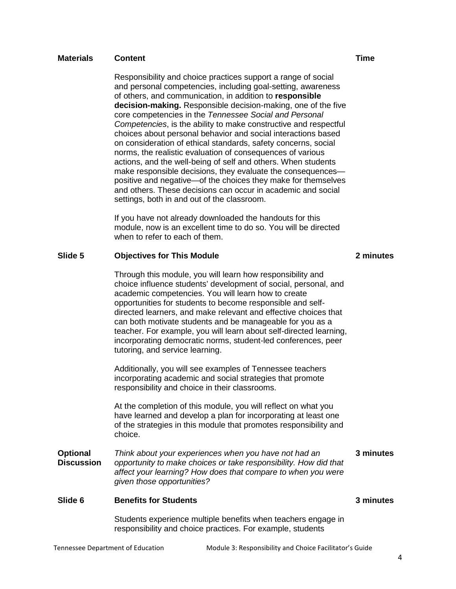Responsibility and choice practices support a range of social and personal competencies, including goal-setting, awareness of others, and communication, in addition to **responsible decision-making.** Responsible decision-making, one of the five core competencies in the *Tennessee Social and Personal Competencies*, is the ability to make constructive and respectful choices about personal behavior and social interactions based on consideration of ethical standards, safety concerns, social norms, the realistic evaluation of consequences of various actions, and the well-being of self and others. When students make responsible decisions, they evaluate the consequences positive and negative—of the choices they make for themselves and others. These decisions can occur in academic and social settings, both in and out of the classroom.

If you have not already downloaded the handouts for this module, now is an excellent time to do so. You will be directed when to refer to each of them.

## **Slide 5 Objectives for This Module**

Through this module, you will learn how responsibility and choice influence students' development of social, personal, and academic competencies. You will learn how to create opportunities for students to become responsible and selfdirected learners, and make relevant and effective choices that can both motivate students and be manageable for you as a teacher. For example, you will learn about self-directed learning, incorporating democratic norms, student-led conferences, peer tutoring, and service learning.

Additionally, you will see examples of Tennessee teachers incorporating academic and social strategies that promote responsibility and choice in their classrooms.

At the completion of this module, you will reflect on what you have learned and develop a plan for incorporating at least one of the strategies in this module that promotes responsibility and choice.

**Optional Discussion** *Think about your experiences when you have not had an opportunity to make choices or take responsibility. How did that affect your learning? How does that compare to when you were given those opportunities?* **3 minutes**

### **Slide 6 Benefits for Students**

Students experience multiple benefits when teachers engage in responsibility and choice practices. For example, students

**3 minutes**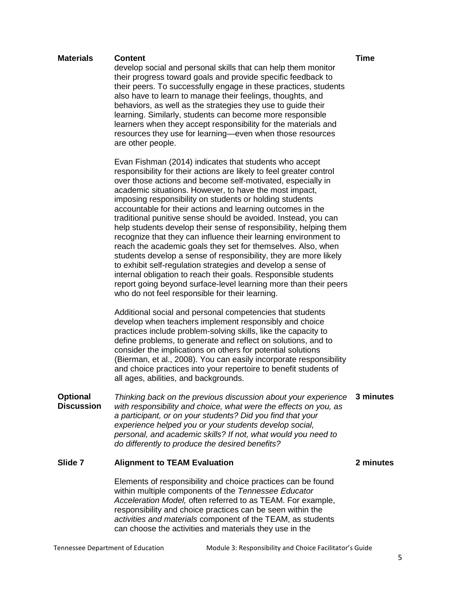develop social and personal skills that can help them monitor their progress toward goals and provide specific feedback to their peers. To successfully engage in these practices, students also have to learn to manage their feelings, thoughts, and behaviors, as well as the strategies they use to guide their learning. Similarly, students can become more responsible learners when they accept responsibility for the materials and resources they use for learning—even when those resources are other people.

Evan Fishman (2014) indicates that students who accept responsibility for their actions are likely to feel greater control over those actions and become self-motivated, especially in academic situations. However, to have the most impact, imposing responsibility on students or holding students accountable for their actions and learning outcomes in the traditional punitive sense should be avoided. Instead, you can help students develop their sense of responsibility, helping them recognize that they can influence their learning environment to reach the academic goals they set for themselves. Also, when students develop a sense of responsibility, they are more likely to exhibit self-regulation strategies and develop a sense of internal obligation to reach their goals. Responsible students report going beyond surface-level learning more than their peers who do not feel responsible for their learning.

Additional social and personal competencies that students develop when teachers implement responsibly and choice practices include problem-solving skills, like the capacity to define problems, to generate and reflect on solutions, and to consider the implications on others for potential solutions (Bierman, et al., 2008). You can easily incorporate responsibility and choice practices into your repertoire to benefit students of all ages, abilities, and backgrounds.

**Optional Discussion** *Thinking back on the previous discussion about your experience*  **3 minutes** *with responsibility and choice, what were the effects on you, as a participant, or on your students? Did you find that your experience helped you or your students develop social, personal, and academic skills? If not, what would you need to do differently to produce the desired benefits?*

# **Slide 7 Alignment to TEAM Evaluation**

Elements of responsibility and choice practices can be found within multiple components of the *Tennessee Educator Acceleration Model,* often referred to as TEAM. For example, responsibility and choice practices can be seen within the *activities and materials* component of the TEAM, as students can choose the activities and materials they use in the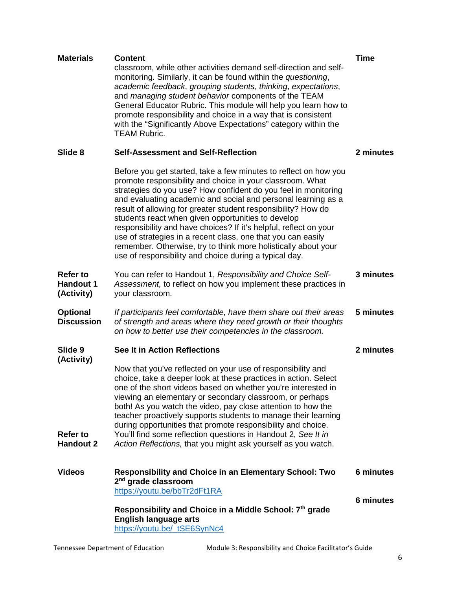| <b>Materials</b>                                  | <b>Content</b><br>classroom, while other activities demand self-direction and self-<br>monitoring. Similarly, it can be found within the questioning,<br>academic feedback, grouping students, thinking, expectations,<br>and managing student behavior components of the TEAM<br>General Educator Rubric. This module will help you learn how to<br>promote responsibility and choice in a way that is consistent<br>with the "Significantly Above Expectations" category within the<br><b>TEAM Rubric.</b>                                                                                                                                             | <b>Time</b> |
|---------------------------------------------------|----------------------------------------------------------------------------------------------------------------------------------------------------------------------------------------------------------------------------------------------------------------------------------------------------------------------------------------------------------------------------------------------------------------------------------------------------------------------------------------------------------------------------------------------------------------------------------------------------------------------------------------------------------|-------------|
| Slide 8                                           | <b>Self-Assessment and Self-Reflection</b>                                                                                                                                                                                                                                                                                                                                                                                                                                                                                                                                                                                                               | 2 minutes   |
|                                                   | Before you get started, take a few minutes to reflect on how you<br>promote responsibility and choice in your classroom. What<br>strategies do you use? How confident do you feel in monitoring<br>and evaluating academic and social and personal learning as a<br>result of allowing for greater student responsibility? How do<br>students react when given opportunities to develop<br>responsibility and have choices? If it's helpful, reflect on your<br>use of strategies in a recent class, one that you can easily<br>remember. Otherwise, try to think more holistically about your<br>use of responsibility and choice during a typical day. |             |
| <b>Refer to</b><br><b>Handout 1</b><br>(Activity) | You can refer to Handout 1, Responsibility and Choice Self-<br>Assessment, to reflect on how you implement these practices in<br>your classroom.                                                                                                                                                                                                                                                                                                                                                                                                                                                                                                         | 3 minutes   |
| <b>Optional</b><br><b>Discussion</b>              | If participants feel comfortable, have them share out their areas<br>of strength and areas where they need growth or their thoughts<br>on how to better use their competencies in the classroom.                                                                                                                                                                                                                                                                                                                                                                                                                                                         | 5 minutes   |
| Slide 9<br>(Activity)                             | <b>See It in Action Reflections</b>                                                                                                                                                                                                                                                                                                                                                                                                                                                                                                                                                                                                                      | 2 minutes   |
| <b>Refer to</b><br><b>Handout 2</b>               | Now that you've reflected on your use of responsibility and<br>choice, take a deeper look at these practices in action. Select<br>one of the short videos based on whether you're interested in<br>viewing an elementary or secondary classroom, or perhaps<br>both! As you watch the video, pay close attention to how the<br>teacher proactively supports students to manage their learning<br>during opportunities that promote responsibility and choice.<br>You'll find some reflection questions in Handout 2, See It in<br>Action Reflections, that you might ask yourself as you watch.                                                          |             |
| <b>Videos</b>                                     | <b>Responsibility and Choice in an Elementary School: Two</b><br>2 <sup>nd</sup> grade classroom                                                                                                                                                                                                                                                                                                                                                                                                                                                                                                                                                         | 6 minutes   |
|                                                   | https://youtu.be/bbTr2dFt1RA                                                                                                                                                                                                                                                                                                                                                                                                                                                                                                                                                                                                                             | 6 minutes   |
|                                                   | Responsibility and Choice in a Middle School: 7th grade<br><b>English language arts</b><br>https://youtu.be/ tSE6SynNc4                                                                                                                                                                                                                                                                                                                                                                                                                                                                                                                                  |             |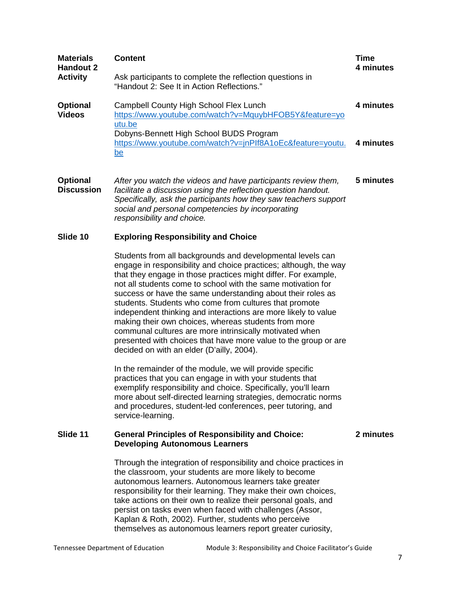| <b>Materials</b><br><b>Handout 2</b><br><b>Activity</b> | <b>Content</b><br>Ask participants to complete the reflection questions in<br>"Handout 2: See It in Action Reflections."                                                                                                                                                                                                                                                                                                                                                                                                                                                                                                                                                                       | <b>Time</b><br>4 minutes |
|---------------------------------------------------------|------------------------------------------------------------------------------------------------------------------------------------------------------------------------------------------------------------------------------------------------------------------------------------------------------------------------------------------------------------------------------------------------------------------------------------------------------------------------------------------------------------------------------------------------------------------------------------------------------------------------------------------------------------------------------------------------|--------------------------|
| <b>Optional</b><br><b>Videos</b>                        | Campbell County High School Flex Lunch<br>https://www.youtube.com/watch?v=MquybHFOB5Y&feature=yo<br>utu.be<br>Dobyns-Bennett High School BUDS Program<br>https://www.youtube.com/watch?v=jnPlf8A1oEc&feature=youtu.<br><u>be</u>                                                                                                                                                                                                                                                                                                                                                                                                                                                               | 4 minutes<br>4 minutes   |
| <b>Optional</b><br><b>Discussion</b>                    | After you watch the videos and have participants review them,<br>facilitate a discussion using the reflection question handout.<br>Specifically, ask the participants how they saw teachers support<br>social and personal competencies by incorporating<br>responsibility and choice.                                                                                                                                                                                                                                                                                                                                                                                                         | 5 minutes                |
| Slide 10                                                | <b>Exploring Responsibility and Choice</b>                                                                                                                                                                                                                                                                                                                                                                                                                                                                                                                                                                                                                                                     |                          |
|                                                         | Students from all backgrounds and developmental levels can<br>engage in responsibility and choice practices; although, the way<br>that they engage in those practices might differ. For example,<br>not all students come to school with the same motivation for<br>success or have the same understanding about their roles as<br>students. Students who come from cultures that promote<br>independent thinking and interactions are more likely to value<br>making their own choices, whereas students from more<br>communal cultures are more intrinsically motivated when<br>presented with choices that have more value to the group or are<br>decided on with an elder (D'ailly, 2004). |                          |
|                                                         | In the remainder of the module, we will provide specific<br>practices that you can engage in with your students that<br>exemplify responsibility and choice. Specifically, you'll learn<br>more about self-directed learning strategies, democratic norms<br>and procedures, student-led conferences, peer tutoring, and<br>service-learning.                                                                                                                                                                                                                                                                                                                                                  |                          |
| Slide 11                                                | <b>General Principles of Responsibility and Choice:</b><br><b>Developing Autonomous Learners</b>                                                                                                                                                                                                                                                                                                                                                                                                                                                                                                                                                                                               | 2 minutes                |
|                                                         | Through the integration of responsibility and choice practices in<br>the classroom, your students are more likely to become<br>autonomous learners. Autonomous learners take greater<br>responsibility for their learning. They make their own choices,<br>take actions on their own to realize their personal goals, and<br>persist on tasks even when faced with challenges (Assor,<br>Kaplan & Roth, 2002). Further, students who perceive<br>themselves as autonomous learners report greater curiosity,                                                                                                                                                                                   |                          |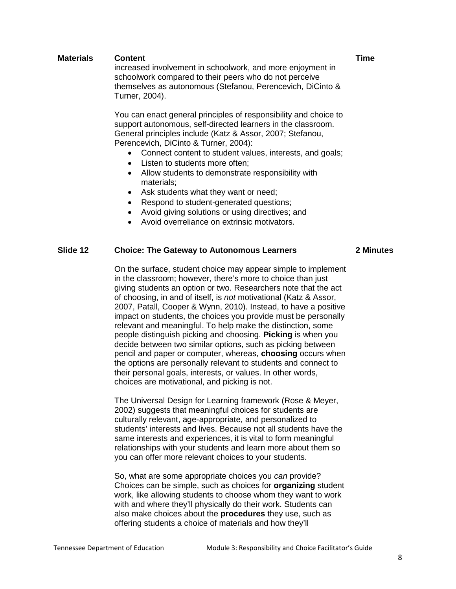increased involvement in schoolwork, and more enjoyment in schoolwork compared to their peers who do not perceive themselves as autonomous (Stefanou, Perencevich, DiCinto & Turner, 2004).

You can enact general principles of responsibility and choice to support autonomous, self-directed learners in the classroom. General principles include (Katz & Assor, 2007; Stefanou, Perencevich, DiCinto & Turner, 2004):

- Connect content to student values, interests, and goals;
- Listen to students more often;
- Allow students to demonstrate responsibility with materials;
- Ask students what they want or need;
- Respond to student-generated questions;
- Avoid giving solutions or using directives; and
- Avoid overreliance on extrinsic motivators.

## **Slide 12 Choice: The Gateway to Autonomous Learners**

#### **2 Minutes**

On the surface, student choice may appear simple to implement in the classroom; however, there's more to choice than just giving students an option or two. Researchers note that the act of choosing, in and of itself, is *not* motivational (Katz & Assor, 2007, Patall, Cooper & Wynn, 2010). Instead, to have a positive impact on students, the choices you provide must be personally relevant and meaningful. To help make the distinction, some people distinguish picking and choosing. **Picking** is when you decide between two similar options, such as picking between pencil and paper or computer, whereas, **choosing** occurs when the options are personally relevant to students and connect to their personal goals, interests, or values. In other words, choices are motivational, and picking is not.

The Universal Design for Learning framework (Rose & Meyer, 2002) suggests that meaningful choices for students are culturally relevant, age-appropriate, and personalized to students' interests and lives. Because not all students have the same interests and experiences, it is vital to form meaningful relationships with your students and learn more about them so you can offer more relevant choices to your students.

So, what are some appropriate choices you *can* provide? Choices can be simple, such as choices for **organizing** student work, like allowing students to choose whom they want to work with and where they'll physically do their work. Students can also make choices about the **procedures** they use, such as offering students a choice of materials and how they'll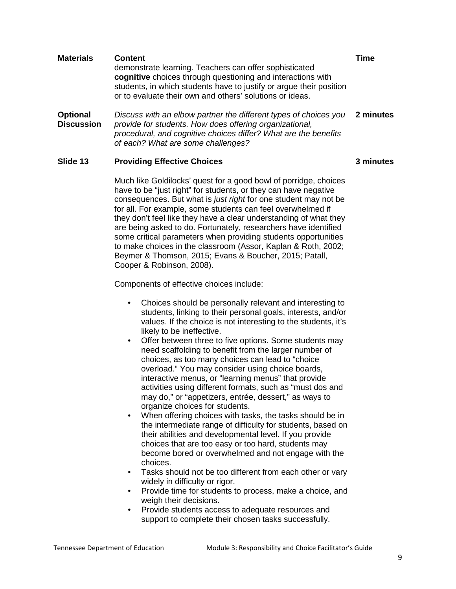| <b>Materials</b>                     | <b>Content</b><br>demonstrate learning. Teachers can offer sophisticated<br>cognitive choices through questioning and interactions with<br>students, in which students have to justify or argue their position<br>or to evaluate their own and others' solutions or ideas. | Time      |
|--------------------------------------|----------------------------------------------------------------------------------------------------------------------------------------------------------------------------------------------------------------------------------------------------------------------------|-----------|
| <b>Optional</b><br><b>Discussion</b> | Discuss with an elbow partner the different types of choices you<br>provide for students. How does offering organizational,<br>procedural, and cognitive choices differ? What are the benefits<br>of each? What are some challenges?                                       | 2 minutes |

## **Slide 13 Providing Effective Choices**

Much like Goldilocks' quest for a good bowl of porridge, choices have to be "just right" for students, or they can have negative consequences. But what is *just right* for one student may not be for all. For example, some students can feel overwhelmed if they don't feel like they have a clear understanding of what they are being asked to do. Fortunately, researchers have identified some critical parameters when providing students opportunities to make choices in the classroom (Assor, Kaplan & Roth, 2002; Beymer & Thomson, 2015; Evans & Boucher, 2015; Patall, Cooper & Robinson, 2008).

Components of effective choices include:

- Choices should be personally relevant and interesting to students, linking to their personal goals, interests, and/or values. If the choice is not interesting to the students, it's likely to be ineffective.
- Offer between three to five options. Some students may need scaffolding to benefit from the larger number of choices, as too many choices can lead to "choice overload." You may consider using choice boards, interactive menus, or "learning menus" that provide activities using different formats, such as "must dos and may do," or "appetizers, entrée, dessert," as ways to organize choices for students.
- When offering choices with tasks, the tasks should be in the intermediate range of difficulty for students, based on their abilities and developmental level. If you provide choices that are too easy or too hard, students may become bored or overwhelmed and not engage with the choices.
- Tasks should not be too different from each other or vary widely in difficulty or rigor.
- Provide time for students to process, make a choice, and weigh their decisions.
- Provide students access to adequate resources and support to complete their chosen tasks successfully.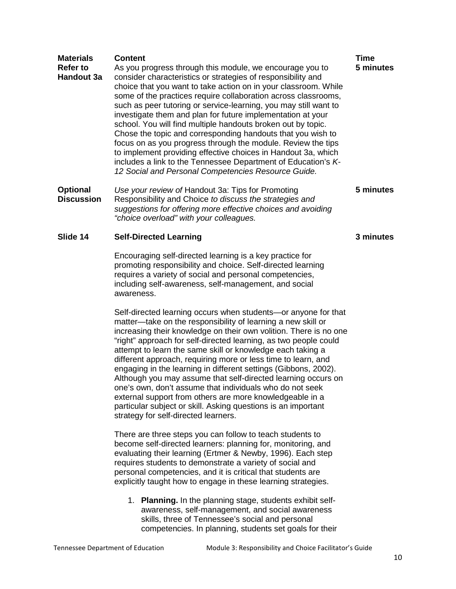| <b>Materials</b><br><b>Refer to</b><br><b>Handout 3a</b> | <b>Content</b><br>As you progress through this module, we encourage you to<br>consider characteristics or strategies of responsibility and<br>choice that you want to take action on in your classroom. While<br>some of the practices require collaboration across classrooms,<br>such as peer tutoring or service-learning, you may still want to<br>investigate them and plan for future implementation at your<br>school. You will find multiple handouts broken out by topic.<br>Chose the topic and corresponding handouts that you wish to<br>focus on as you progress through the module. Review the tips<br>to implement providing effective choices in Handout 3a, which<br>includes a link to the Tennessee Department of Education's K-<br>12 Social and Personal Competencies Resource Guide. | Time<br>5 minutes |
|----------------------------------------------------------|------------------------------------------------------------------------------------------------------------------------------------------------------------------------------------------------------------------------------------------------------------------------------------------------------------------------------------------------------------------------------------------------------------------------------------------------------------------------------------------------------------------------------------------------------------------------------------------------------------------------------------------------------------------------------------------------------------------------------------------------------------------------------------------------------------|-------------------|
| <b>Optional</b><br><b>Discussion</b>                     | Use your review of Handout 3a: Tips for Promoting<br>Responsibility and Choice to discuss the strategies and<br>suggestions for offering more effective choices and avoiding<br>"choice overload" with your colleagues.                                                                                                                                                                                                                                                                                                                                                                                                                                                                                                                                                                                    | 5 minutes         |
| Slide 14                                                 | <b>Self-Directed Learning</b>                                                                                                                                                                                                                                                                                                                                                                                                                                                                                                                                                                                                                                                                                                                                                                              | 3 minutes         |
|                                                          | Encouraging self-directed learning is a key practice for<br>promoting responsibility and choice. Self-directed learning<br>requires a variety of social and personal competencies,<br>including self-awareness, self-management, and social<br>awareness.                                                                                                                                                                                                                                                                                                                                                                                                                                                                                                                                                  |                   |
|                                                          | Self-directed learning occurs when students-or anyone for that<br>matter-take on the responsibility of learning a new skill or<br>increasing their knowledge on their own volition. There is no one<br>"right" approach for self-directed learning, as two people could<br>attempt to learn the same skill or knowledge each taking a<br>different approach, requiring more or less time to learn, and<br>engaging in the learning in different settings (Gibbons, 2002).<br>Although you may assume that self-directed learning occurs on<br>one's own, don't assume that individuals who do not seek<br>external support from others are more knowledgeable in a<br>particular subject or skill. Asking questions is an important<br>strategy for self-directed learners.                                |                   |
|                                                          | There are three steps you can follow to teach students to<br>become self-directed learners: planning for, monitoring, and<br>evaluating their learning (Ertmer & Newby, 1996). Each step<br>requires students to demonstrate a variety of social and<br>personal competencies, and it is critical that students are<br>explicitly taught how to engage in these learning strategies.                                                                                                                                                                                                                                                                                                                                                                                                                       |                   |
|                                                          | 1. Planning. In the planning stage, students exhibit self-<br>awareness, self-management, and social awareness<br>skills, three of Tennessee's social and personal<br>competencies. In planning, students set goals for their                                                                                                                                                                                                                                                                                                                                                                                                                                                                                                                                                                              |                   |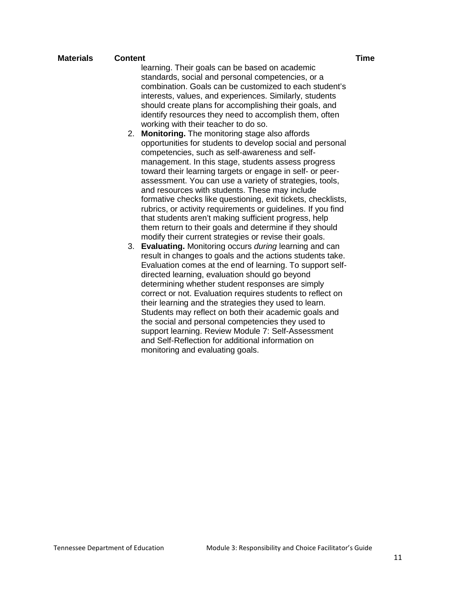learning. Their goals can be based on academic standards, social and personal competencies, or a combination. Goals can be customized to each student's interests, values, and experiences. Similarly, students should create plans for accomplishing their goals, and identify resources they need to accomplish them, often working with their teacher to do so.

- 2. **Monitoring.** The monitoring stage also affords opportunities for students to develop social and personal competencies, such as self-awareness and selfmanagement. In this stage, students assess progress toward their learning targets or engage in self- or peerassessment. You can use a variety of strategies, tools, and resources with students. These may include formative checks like questioning, exit tickets, checklists, rubrics, or activity requirements or guidelines. If you find that students aren't making sufficient progress, help them return to their goals and determine if they should modify their current strategies or revise their goals.
- 3. **Evaluating.** Monitoring occurs *during* learning and can result in changes to goals and the actions students take. Evaluation comes at the end of learning. To support selfdirected learning, evaluation should go beyond determining whether student responses are simply correct or not. Evaluation requires students to reflect on their learning and the strategies they used to learn. Students may reflect on both their academic goals and the social and personal competencies they used to support learning. Review Module 7: Self-Assessment and Self-Reflection for additional information on monitoring and evaluating goals.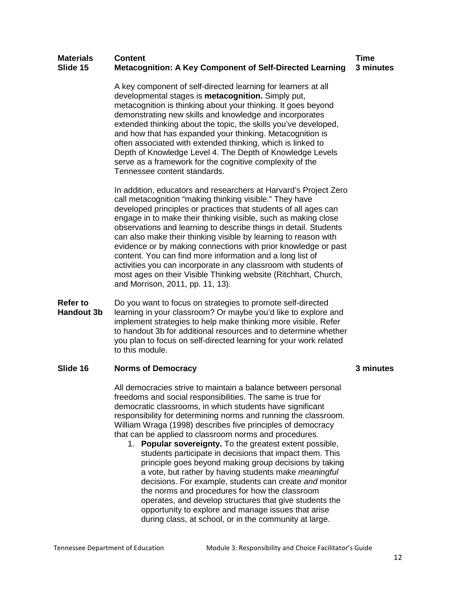#### **Materials Content Time Slide 15 Metacognition: A Key Component of Self-Directed Learning 3 minutes**

A key component of self-directed learning for learners at all developmental stages is **metacognition.** Simply put, metacognition is thinking about your thinking. It goes beyond demonstrating new skills and knowledge and incorporates extended thinking about the topic, the skills you've developed, and how that has expanded your thinking. Metacognition is often associated with extended thinking, which is linked to Depth of Knowledge Level 4. The Depth of Knowledge Levels serve as a framework for the cognitive complexity of the Tennessee content standards.

In addition, educators and researchers at Harvard's Project Zero call metacognition "making thinking visible." They have developed principles or practices that students of all ages can engage in to make their thinking visible, such as making close observations and learning to describe things in detail. Students can also make their thinking visible by learning to reason with evidence or by making connections with prior knowledge or past content. You can find more information and a long list of activities you can incorporate in any classroom with students of most ages on their Visible Thinking website (Ritchhart, Church, and Morrison, 2011, pp. 11, 13).

**Refer to Handout 3b**  Do you want to focus on strategies to promote self-directed learning in your classroom? Or maybe you'd like to explore and implement strategies to help make thinking more visible. Refer to handout 3b for additional resources and to determine whether you plan to focus on self-directed learning for your work related to this module.

# **Slide 16 Norms of Democracy**

All democracies strive to maintain a balance between personal freedoms and social responsibilities. The same is true for democratic classrooms, in which students have significant responsibility for determining norms and running the classroom. William Wraga (1998) describes five principles of democracy that can be applied to classroom norms and procedures.

1. **Popular sovereignty.** To the greatest extent possible, students participate in decisions that impact them. This principle goes beyond making group decisions by taking a vote, but rather by having students make *meaningful* decisions. For example, students can create *and* monitor the norms and procedures for how the classroom operates, and develop structures that give students the opportunity to explore and manage issues that arise during class, at school, or in the community at large.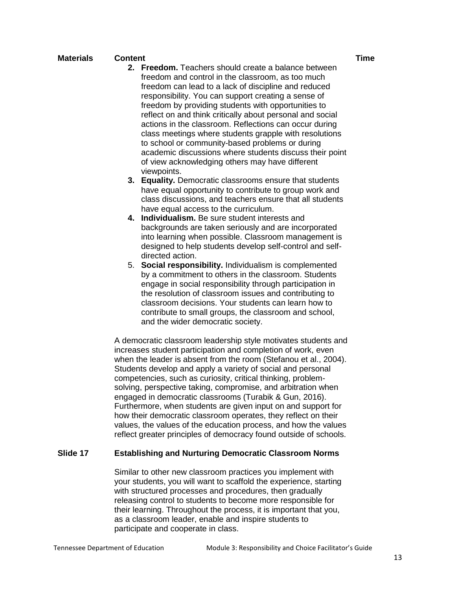- **2. Freedom.** Teachers should create a balance between freedom and control in the classroom, as too much freedom can lead to a lack of discipline and reduced responsibility. You can support creating a sense of freedom by providing students with opportunities to reflect on and think critically about personal and social actions in the classroom. Reflections can occur during class meetings where students grapple with resolutions to school or community-based problems or during academic discussions where students discuss their point of view acknowledging others may have different viewpoints.
- **3. Equality.** Democratic classrooms ensure that students have equal opportunity to contribute to group work and class discussions, and teachers ensure that all students have equal access to the curriculum.
- **4. Individualism.** Be sure student interests and backgrounds are taken seriously and are incorporated into learning when possible. Classroom management is designed to help students develop self-control and selfdirected action.
- 5. **Social responsibility.** Individualism is complemented by a commitment to others in the classroom. Students engage in social responsibility through participation in the resolution of classroom issues and contributing to classroom decisions. Your students can learn how to contribute to small groups, the classroom and school, and the wider democratic society.

A democratic classroom leadership style motivates students and increases student participation and completion of work, even when the leader is absent from the room (Stefanou et al., 2004). Students develop and apply a variety of social and personal competencies, such as curiosity, critical thinking, problemsolving, perspective taking, compromise, and arbitration when engaged in democratic classrooms (Turabik & Gun, 2016). Furthermore, when students are given input on and support for how their democratic classroom operates, they reflect on their values, the values of the education process, and how the values reflect greater principles of democracy found outside of schools.

## **Slide 17 Establishing and Nurturing Democratic Classroom Norms**

Similar to other new classroom practices you implement with your students, you will want to scaffold the experience, starting with structured processes and procedures, then gradually releasing control to students to become more responsible for their learning. Throughout the process, it is important that you, as a classroom leader, enable and inspire students to participate and cooperate in class.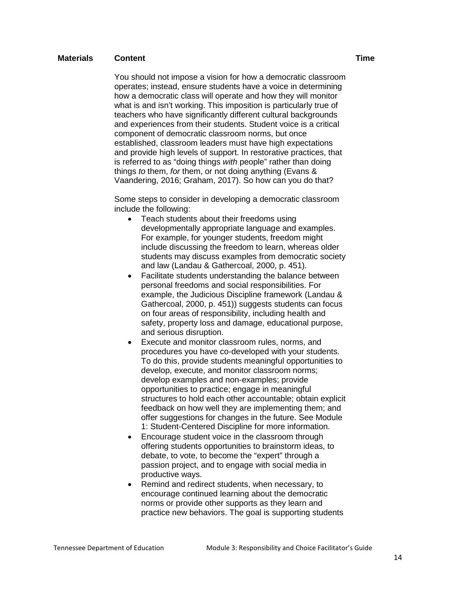You should not impose a vision for how a democratic classroom operates; instead, ensure students have a voice in determining how a democratic class will operate and how they will monitor what is and isn't working. This imposition is particularly true of teachers who have significantly different cultural backgrounds and experiences from their students. Student voice is a critical component of democratic classroom norms, but once established, classroom leaders must have high expectations and provide high levels of support. In restorative practices, that is referred to as "doing things *with* people" rather than doing things *to* them, *for* them, or not doing anything (Evans & Vaandering, 2016; Graham, 2017). So how can you do that?

Some steps to consider in developing a democratic classroom include the following:

- Teach students about their freedoms using developmentally appropriate language and examples. For example, for younger students, freedom might include discussing the freedom to learn, whereas older students may discuss examples from democratic society and law (Landau & Gathercoal, 2000, p. 451).
- Facilitate students understanding the balance between personal freedoms and social responsibilities. For example, the Judicious Discipline framework (Landau & Gathercoal, 2000, p. 451)) suggests students can focus on four areas of responsibility, including health and safety, property loss and damage, educational purpose, and serious disruption.
- Execute and monitor classroom rules, norms, and procedures you have co-developed with your students. To do this, provide students meaningful opportunities to develop, execute, and monitor classroom norms; develop examples and non-examples; provide opportunities to practice; engage in meaningful structures to hold each other accountable; obtain explicit feedback on how well they are implementing them; and offer suggestions for changes in the future. See Module 1: Student-Centered Discipline for more information.
- Encourage student voice in the classroom through offering students opportunities to brainstorm ideas, to debate, to vote, to become the "expert" through a passion project, and to engage with social media in productive ways.
- Remind and redirect students, when necessary, to encourage continued learning about the democratic norms or provide other supports as they learn and practice new behaviors. The goal is supporting students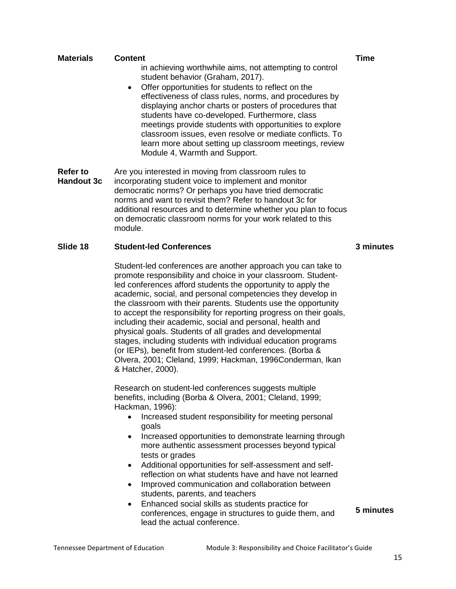| <b>Refer to</b><br>Are you interested in moving from classroom rules to<br><b>Handout 3c</b><br>incorporating student voice to implement and monitor<br>democratic norms? Or perhaps you have tried democratic<br>norms and want to revisit them? Refer to handout 3c for<br>additional resources and to determine whether you plan to focus<br>on democratic classroom norms for your work related to this<br>module.<br>Slide 18<br><b>Student-led Conferences</b><br>Student-led conferences are another approach you can take to<br>promote responsibility and choice in your classroom. Student-<br>led conferences afford students the opportunity to apply the<br>academic, social, and personal competencies they develop in<br>the classroom with their parents. Students use the opportunity<br>to accept the responsibility for reporting progress on their goals,<br>including their academic, social and personal, health and<br>physical goals. Students of all grades and developmental<br>stages, including students with individual education programs<br>(or IEPs), benefit from student-led conferences. (Borba &<br>Olvera, 2001; Cleland, 1999; Hackman, 1996Conderman, Ikan<br>& Hatcher, 2000).<br>Research on student-led conferences suggests multiple<br>benefits, including (Borba & Olvera, 2001; Cleland, 1999;<br>Hackman, 1996):<br>Increased student responsibility for meeting personal<br>goals<br>Increased opportunities to demonstrate learning through<br>$\bullet$<br>more authentic assessment processes beyond typical<br>tests or grades<br>Additional opportunities for self-assessment and self-<br>$\bullet$<br>reflection on what students have and have not learned<br>Improved communication and collaboration between<br>students, parents, and teachers<br>Enhanced social skills as students practice for<br>$\bullet$<br>conferences, engage in structures to guide them, and<br>lead the actual conference.<br>Tennessee Department of Education<br>Module 3: Responsibility and Choice Facilitator's Guide | student behavior (Graham, 2017).<br>Module 4, Warmth and Support. | Offer opportunities for students to reflect on the<br>effectiveness of class rules, norms, and procedures by<br>displaying anchor charts or posters of procedures that<br>students have co-developed. Furthermore, class<br>meetings provide students with opportunities to explore<br>classroom issues, even resolve or mediate conflicts. To<br>learn more about setting up classroom meetings, review |           |
|------------------------------------------------------------------------------------------------------------------------------------------------------------------------------------------------------------------------------------------------------------------------------------------------------------------------------------------------------------------------------------------------------------------------------------------------------------------------------------------------------------------------------------------------------------------------------------------------------------------------------------------------------------------------------------------------------------------------------------------------------------------------------------------------------------------------------------------------------------------------------------------------------------------------------------------------------------------------------------------------------------------------------------------------------------------------------------------------------------------------------------------------------------------------------------------------------------------------------------------------------------------------------------------------------------------------------------------------------------------------------------------------------------------------------------------------------------------------------------------------------------------------------------------------------------------------------------------------------------------------------------------------------------------------------------------------------------------------------------------------------------------------------------------------------------------------------------------------------------------------------------------------------------------------------------------------------------------------------------------------------------------------------------------------------------------|-------------------------------------------------------------------|----------------------------------------------------------------------------------------------------------------------------------------------------------------------------------------------------------------------------------------------------------------------------------------------------------------------------------------------------------------------------------------------------------|-----------|
|                                                                                                                                                                                                                                                                                                                                                                                                                                                                                                                                                                                                                                                                                                                                                                                                                                                                                                                                                                                                                                                                                                                                                                                                                                                                                                                                                                                                                                                                                                                                                                                                                                                                                                                                                                                                                                                                                                                                                                                                                                                                  |                                                                   |                                                                                                                                                                                                                                                                                                                                                                                                          |           |
|                                                                                                                                                                                                                                                                                                                                                                                                                                                                                                                                                                                                                                                                                                                                                                                                                                                                                                                                                                                                                                                                                                                                                                                                                                                                                                                                                                                                                                                                                                                                                                                                                                                                                                                                                                                                                                                                                                                                                                                                                                                                  |                                                                   |                                                                                                                                                                                                                                                                                                                                                                                                          | 3 minutes |
|                                                                                                                                                                                                                                                                                                                                                                                                                                                                                                                                                                                                                                                                                                                                                                                                                                                                                                                                                                                                                                                                                                                                                                                                                                                                                                                                                                                                                                                                                                                                                                                                                                                                                                                                                                                                                                                                                                                                                                                                                                                                  |                                                                   |                                                                                                                                                                                                                                                                                                                                                                                                          |           |
|                                                                                                                                                                                                                                                                                                                                                                                                                                                                                                                                                                                                                                                                                                                                                                                                                                                                                                                                                                                                                                                                                                                                                                                                                                                                                                                                                                                                                                                                                                                                                                                                                                                                                                                                                                                                                                                                                                                                                                                                                                                                  |                                                                   |                                                                                                                                                                                                                                                                                                                                                                                                          | 5 minutes |
|                                                                                                                                                                                                                                                                                                                                                                                                                                                                                                                                                                                                                                                                                                                                                                                                                                                                                                                                                                                                                                                                                                                                                                                                                                                                                                                                                                                                                                                                                                                                                                                                                                                                                                                                                                                                                                                                                                                                                                                                                                                                  |                                                                   |                                                                                                                                                                                                                                                                                                                                                                                                          | 15        |

in achieving worthwhile aims, not attempting to control

# **Materials Content Time**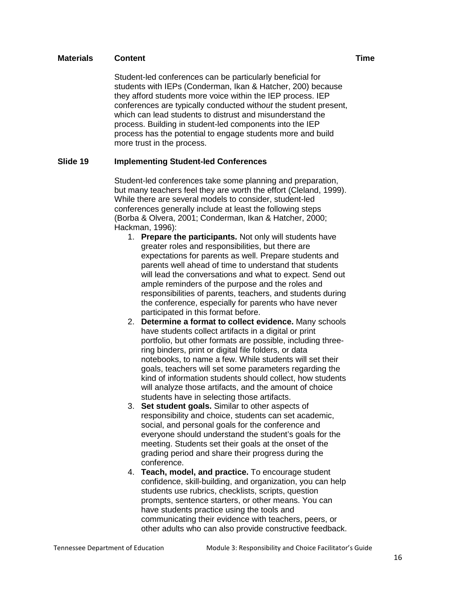Student-led conferences can be particularly beneficial for students with IEPs (Conderman, Ikan & Hatcher, 200) because they afford students more voice within the IEP process. IEP conferences are typically conducted with*out* the student present, which can lead students to distrust and misunderstand the process. Building in student-led components into the IEP process has the potential to engage students more and build more trust in the process.

## **Slide 19 Implementing Student-led Conferences**

Student-led conferences take some planning and preparation, but many teachers feel they are worth the effort (Cleland, 1999). While there are several models to consider, student-led conferences generally include at least the following steps (Borba & Olvera, 2001; Conderman, Ikan & Hatcher, 2000; Hackman, 1996):

- 1. **Prepare the participants.** Not only will students have greater roles and responsibilities, but there are expectations for parents as well. Prepare students and parents well ahead of time to understand that students will lead the conversations and what to expect. Send out ample reminders of the purpose and the roles and responsibilities of parents, teachers, and students during the conference, especially for parents who have never participated in this format before.
- 2. **Determine a format to collect evidence.** Many schools have students collect artifacts in a digital or print portfolio, but other formats are possible, including threering binders, print or digital file folders, or data notebooks, to name a few. While students will set their goals, teachers will set some parameters regarding the kind of information students should collect, how students will analyze those artifacts, and the amount of choice students have in selecting those artifacts.
- 3. **Set student goals.** Similar to other aspects of responsibility and choice, students can set academic, social, and personal goals for the conference and everyone should understand the student's goals for the meeting. Students set their goals at the onset of the grading period and share their progress during the conference.
- 4. **Teach, model, and practice.** To encourage student confidence, skill-building, and organization, you can help students use rubrics, checklists, scripts, question prompts, sentence starters, or other means. You can have students practice using the tools and communicating their evidence with teachers, peers, or other adults who can also provide constructive feedback.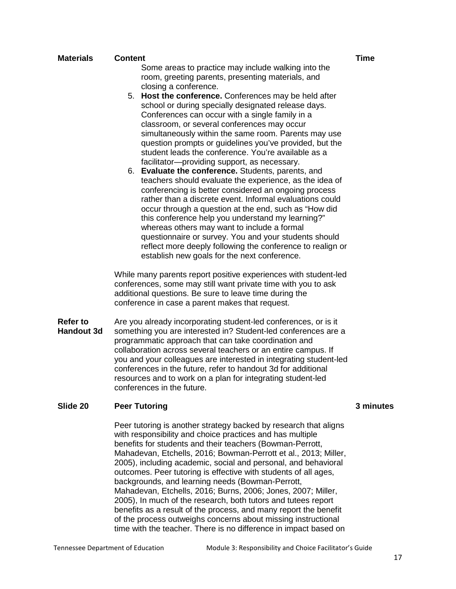| <b>Materials</b>                     | <b>Content</b><br>Some areas to practice may include walking into the<br>room, greeting parents, presenting materials, and                                                                                                                                                                                                                                                                                                                                                                                                                                                                                            | <b>Time</b> |
|--------------------------------------|-----------------------------------------------------------------------------------------------------------------------------------------------------------------------------------------------------------------------------------------------------------------------------------------------------------------------------------------------------------------------------------------------------------------------------------------------------------------------------------------------------------------------------------------------------------------------------------------------------------------------|-------------|
|                                      | closing a conference.<br>5. Host the conference. Conferences may be held after<br>school or during specially designated release days.<br>Conferences can occur with a single family in a<br>classroom, or several conferences may occur<br>simultaneously within the same room. Parents may use<br>question prompts or guidelines you've provided, but the<br>student leads the conference. You're available as a                                                                                                                                                                                                     |             |
|                                      | facilitator-providing support, as necessary.<br>6. Evaluate the conference. Students, parents, and<br>teachers should evaluate the experience, as the idea of<br>conferencing is better considered an ongoing process<br>rather than a discrete event. Informal evaluations could<br>occur through a question at the end, such as "How did<br>this conference help you understand my learning?"<br>whereas others may want to include a formal<br>questionnaire or survey. You and your students should<br>reflect more deeply following the conference to realign or<br>establish new goals for the next conference. |             |
|                                      | While many parents report positive experiences with student-led<br>conferences, some may still want private time with you to ask<br>additional questions. Be sure to leave time during the<br>conference in case a parent makes that request.                                                                                                                                                                                                                                                                                                                                                                         |             |
| <b>Refer to</b><br><b>Handout 3d</b> | Are you already incorporating student-led conferences, or is it<br>something you are interested in? Student-led conferences are a<br>programmatic approach that can take coordination and<br>collaboration across several teachers or an entire campus. If<br>you and your colleagues are interested in integrating student-led<br>conferences in the future, refer to handout 3d for additional<br>resources and to work on a plan for integrating student-led<br>conferences in the future.                                                                                                                         |             |
| Slide 20                             | <b>Peer Tutoring</b>                                                                                                                                                                                                                                                                                                                                                                                                                                                                                                                                                                                                  | 3 mir       |
|                                      | Peer tutoring is another strategy backed by research that aligns<br>with responsibility and choice practices and has multiple<br>benefits for students and their teachers (Bowman-Perrott,<br>Mahadevan, Etchells, 2016; Bowman-Perrott et al., 2013; Miller,<br>2005), including academic, social and personal, and behavioral<br>outcomes. Peer tutoring is effective with students of all ages,                                                                                                                                                                                                                    |             |

outcomes. Peer tutoring is effective with students of all ages, backgrounds, and learning needs (Bowman-Perrott, Mahadevan, Etchells, 2016; Burns, 2006; Jones, 2007; Miller, 2005), In much of the research, both tutors and tutees report benefits as a result of the process, and many report the benefit of the process outweighs concerns about missing instructional time with the teacher. There is no difference in impact based on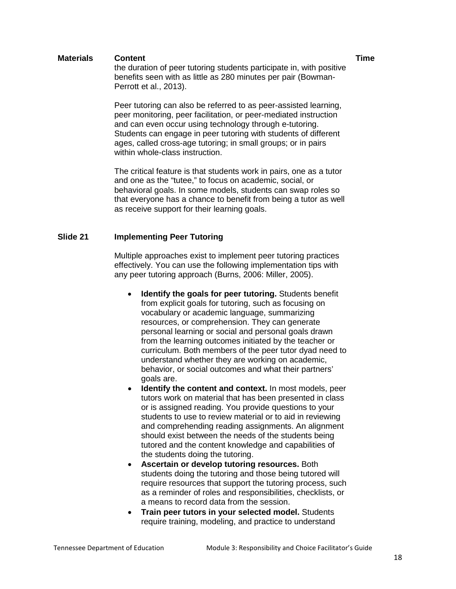the duration of peer tutoring students participate in, with positive benefits seen with as little as 280 minutes per pair (Bowman-Perrott et al., 2013).

Peer tutoring can also be referred to as peer-assisted learning, peer monitoring, peer facilitation, or peer-mediated instruction and can even occur using technology through e-tutoring. Students can engage in peer tutoring with students of different ages, called cross-age tutoring; in small groups; or in pairs within whole-class instruction.

The critical feature is that students work in pairs, one as a tutor and one as the "tutee," to focus on academic, social, or behavioral goals. In some models, students can swap roles so that everyone has a chance to benefit from being a tutor as well as receive support for their learning goals.

# **Slide 21 Implementing Peer Tutoring**

Multiple approaches exist to implement peer tutoring practices effectively. You can use the following implementation tips with any peer tutoring approach (Burns, 2006: Miller, 2005).

- **Identify the goals for peer tutoring.** Students benefit from explicit goals for tutoring, such as focusing on vocabulary or academic language, summarizing resources, or comprehension. They can generate personal learning or social and personal goals drawn from the learning outcomes initiated by the teacher or curriculum. Both members of the peer tutor dyad need to understand whether they are working on academic, behavior, or social outcomes and what their partners' goals are.
- **Identify the content and context.** In most models, peer tutors work on material that has been presented in class or is assigned reading. You provide questions to your students to use to review material or to aid in reviewing and comprehending reading assignments. An alignment should exist between the needs of the students being tutored and the content knowledge and capabilities of the students doing the tutoring.
- **Ascertain or develop tutoring resources.** Both students doing the tutoring and those being tutored will require resources that support the tutoring process, such as a reminder of roles and responsibilities, checklists, or a means to record data from the session.
- **Train peer tutors in your selected model.** Students require training, modeling, and practice to understand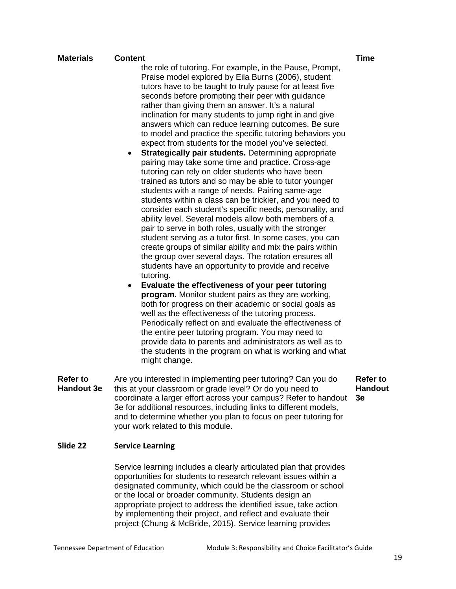the role of tutoring. For example, in the Pause, Prompt, Praise model explored by Eila Burns (2006), student tutors have to be taught to truly pause for at least five seconds before prompting their peer with guidance rather than giving them an answer. It's a natural inclination for many students to jump right in and give answers which can reduce learning outcomes. Be sure to model and practice the specific tutoring behaviors you expect from students for the model you've selected.

- **Strategically pair students.** Determining appropriate pairing may take some time and practice. Cross-age tutoring can rely on older students who have been trained as tutors and so may be able to tutor younger students with a range of needs. Pairing same-age students within a class can be trickier, and you need to consider each student's specific needs, personality, and ability level. Several models allow both members of a pair to serve in both roles, usually with the stronger student serving as a tutor first. In some cases, you can create groups of similar ability and mix the pairs within the group over several days. The rotation ensures all students have an opportunity to provide and receive tutoring.
- **Evaluate the effectiveness of your peer tutoring program.** Monitor student pairs as they are working, both for progress on their academic or social goals as well as the effectiveness of the tutoring process. Periodically reflect on and evaluate the effectiveness of the entire peer tutoring program. You may need to provide data to parents and administrators as well as to the students in the program on what is working and what might change.
- **Refer to Handout 3e**  Are you interested in implementing peer tutoring? Can you do this at your classroom or grade level? Or do you need to coordinate a larger effort across your campus? Refer to handout **3e**  3e for additional resources, including links to different models, and to determine whether you plan to focus on peer tutoring for your work related to this module. **Refer to Handout**

# **Slide 22 Service Learning**

Service learning includes a clearly articulated plan that provides opportunities for students to research relevant issues within a designated community, which could be the classroom or school or the local or broader community. Students design an appropriate project to address the identified issue, take action by implementing their project, and reflect and evaluate their project (Chung & McBride, 2015). Service learning provides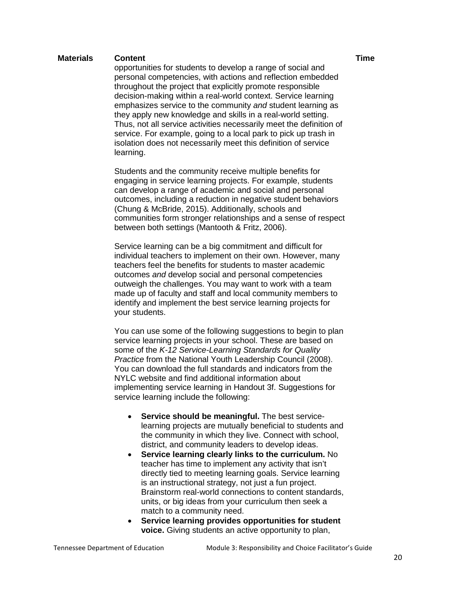opportunities for students to develop a range of social and personal competencies, with actions and reflection embedded throughout the project that explicitly promote responsible decision-making within a real-world context. Service learning emphasizes service to the community *and* student learning as they apply new knowledge and skills in a real-world setting. Thus, not all service activities necessarily meet the definition of service. For example, going to a local park to pick up trash in isolation does not necessarily meet this definition of service learning.

Students and the community receive multiple benefits for engaging in service learning projects. For example, students can develop a range of academic and social and personal outcomes, including a reduction in negative student behaviors (Chung & McBride, 2015). Additionally, schools and communities form stronger relationships and a sense of respect between both settings (Mantooth & Fritz, 2006).

Service learning can be a big commitment and difficult for individual teachers to implement on their own. However, many teachers feel the benefits for students to master academic outcomes *and* develop social and personal competencies outweigh the challenges. You may want to work with a team made up of faculty and staff and local community members to identify and implement the best service learning projects for your students.

You can use some of the following suggestions to begin to plan service learning projects in your school. These are based on some of the *K-12 Service-Learning Standards for Quality Practice* from the National Youth Leadership Council (2008). You can download the full standards and indicators from the NYLC website and find additional information about implementing service learning in Handout 3f. Suggestions for service learning include the following:

- **Service should be meaningful.** The best servicelearning projects are mutually beneficial to students and the community in which they live. Connect with school, district, and community leaders to develop ideas.
- **Service learning clearly links to the curriculum.** No teacher has time to implement any activity that isn't directly tied to meeting learning goals. Service learning is an instructional strategy, not just a fun project. Brainstorm real-world connections to content standards, units, or big ideas from your curriculum then seek a match to a community need.
- **Service learning provides opportunities for student voice.** Giving students an active opportunity to plan,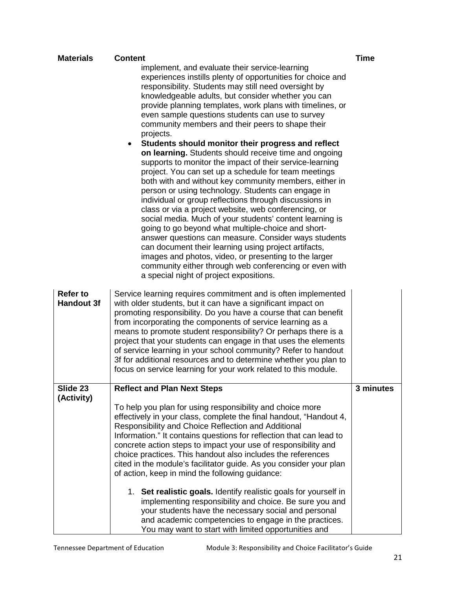| <b>Materials</b>                     | <b>Content</b>                                                                                                                                                                                                                                                                                                                                                                                                                                                                                                                                                                                                                                                                                                                                                                                                                                                                                                                                                                                                                                                                                                                                                                                                                                                                     | <b>Time</b> |
|--------------------------------------|------------------------------------------------------------------------------------------------------------------------------------------------------------------------------------------------------------------------------------------------------------------------------------------------------------------------------------------------------------------------------------------------------------------------------------------------------------------------------------------------------------------------------------------------------------------------------------------------------------------------------------------------------------------------------------------------------------------------------------------------------------------------------------------------------------------------------------------------------------------------------------------------------------------------------------------------------------------------------------------------------------------------------------------------------------------------------------------------------------------------------------------------------------------------------------------------------------------------------------------------------------------------------------|-------------|
|                                      | implement, and evaluate their service-learning<br>experiences instills plenty of opportunities for choice and<br>responsibility. Students may still need oversight by<br>knowledgeable adults, but consider whether you can<br>provide planning templates, work plans with timelines, or<br>even sample questions students can use to survey<br>community members and their peers to shape their<br>projects.<br>Students should monitor their progress and reflect<br>on learning. Students should receive time and ongoing<br>supports to monitor the impact of their service-learning<br>project. You can set up a schedule for team meetings<br>both with and without key community members, either in<br>person or using technology. Students can engage in<br>individual or group reflections through discussions in<br>class or via a project website, web conferencing, or<br>social media. Much of your students' content learning is<br>going to go beyond what multiple-choice and short-<br>answer questions can measure. Consider ways students<br>can document their learning using project artifacts,<br>images and photos, video, or presenting to the larger<br>community either through web conferencing or even with<br>a special night of project expositions. |             |
| <b>Refer to</b><br><b>Handout 3f</b> | Service learning requires commitment and is often implemented<br>with older students, but it can have a significant impact on<br>promoting responsibility. Do you have a course that can benefit<br>from incorporating the components of service learning as a<br>means to promote student responsibility? Or perhaps there is a<br>project that your students can engage in that uses the elements<br>of service learning in your school community? Refer to handout<br>3f for additional resources and to determine whether you plan to<br>focus on service learning for your work related to this module.                                                                                                                                                                                                                                                                                                                                                                                                                                                                                                                                                                                                                                                                       |             |
| Slide 23                             | <b>Reflect and Plan Next Steps</b>                                                                                                                                                                                                                                                                                                                                                                                                                                                                                                                                                                                                                                                                                                                                                                                                                                                                                                                                                                                                                                                                                                                                                                                                                                                 | 3 minutes   |
| (Activity)                           | To help you plan for using responsibility and choice more<br>effectively in your class, complete the final handout, "Handout 4,<br>Responsibility and Choice Reflection and Additional<br>Information." It contains questions for reflection that can lead to<br>concrete action steps to impact your use of responsibility and<br>choice practices. This handout also includes the references<br>cited in the module's facilitator guide. As you consider your plan<br>of action, keep in mind the following guidance:<br>1. Set realistic goals. Identify realistic goals for yourself in<br>implementing responsibility and choice. Be sure you and<br>your students have the necessary social and personal<br>and academic competencies to engage in the practices.<br>You may want to start with limited opportunities and                                                                                                                                                                                                                                                                                                                                                                                                                                                    |             |